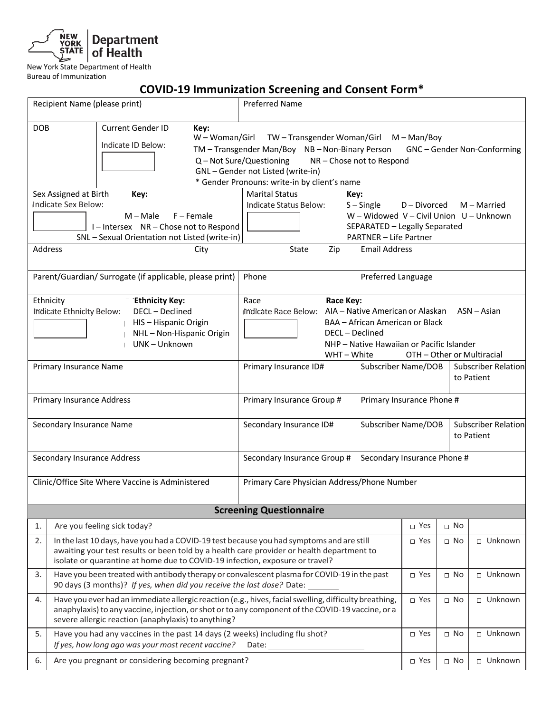

## **COVID-19 Immunization Screening and Consent Form\***

|                                                                                                                                                                                                                                                                             | Recipient Name (please print)                                                                                                                                                                                                                                     | <b>Preferred Name</b>                                                                                                                                                                                                                   |                                                                                                                                           |                                          |                                             |  |
|-----------------------------------------------------------------------------------------------------------------------------------------------------------------------------------------------------------------------------------------------------------------------------|-------------------------------------------------------------------------------------------------------------------------------------------------------------------------------------------------------------------------------------------------------------------|-----------------------------------------------------------------------------------------------------------------------------------------------------------------------------------------------------------------------------------------|-------------------------------------------------------------------------------------------------------------------------------------------|------------------------------------------|---------------------------------------------|--|
| <b>DOB</b>                                                                                                                                                                                                                                                                  | <b>Current Gender ID</b><br>Key:<br>W - Woman/Girl<br>Indicate ID Below:<br>Sex Assigned at Birth<br>Key:                                                                                                                                                         | TW-Transgender Woman/Girl M-Man/Boy<br>TM - Transgender Man/Boy NB - Non-Binary Person<br>Q - Not Sure/Questioning<br>GNL-Gender not Listed (write-in)<br>* Gender Pronouns: write-in by client's name<br><b>Marital Status</b><br>Key: | NR - Chose not to Respond                                                                                                                 |                                          | GNC - Gender Non-Conforming                 |  |
|                                                                                                                                                                                                                                                                             | Indicate Sex Below:<br>$M - Male$<br>$F -$ Female<br>I-Intersex NR-Chose not to Respond<br>SNL - Sexual Orientation not Listed (write-in)                                                                                                                         | Indicate Status Below:                                                                                                                                                                                                                  | $S -$ Single<br>D - Divorced<br>W - Widowed V - Civil Union U - Unknown<br>SEPARATED - Legally Separated<br><b>PARTNER - Life Partner</b> |                                          | $M -$ Married                               |  |
| Address                                                                                                                                                                                                                                                                     | City                                                                                                                                                                                                                                                              | State<br>Zip                                                                                                                                                                                                                            | <b>Email Address</b>                                                                                                                      |                                          |                                             |  |
|                                                                                                                                                                                                                                                                             | Parent/Guardian/ Surrogate (if applicable, please print)                                                                                                                                                                                                          | Phone                                                                                                                                                                                                                                   | <b>Preferred Language</b>                                                                                                                 |                                          |                                             |  |
|                                                                                                                                                                                                                                                                             | Ethnicity<br><b>Ethnicity Key:</b><br>Indicate Ethnicity Below:<br>DECL - Declined<br>HIS-Hispanic Origin<br>NHL-Non-Hispanic Origin<br>UNK-Unknown<br>Primary Insurance Name                                                                                     | Race Key:<br>Race<br>indicate Race Below: AIA - Native American or Alaskan<br>DECL - Declined<br>WHT-White<br>Primary Insurance ID#                                                                                                     | BAA – African American or Black<br>NHP - Native Hawaiian or Pacific Islander<br>Subscriber Name/DOB                                       | OTH - Other or Multiracial               | $ASN - Asian$<br><b>Subscriber Relation</b> |  |
|                                                                                                                                                                                                                                                                             |                                                                                                                                                                                                                                                                   |                                                                                                                                                                                                                                         |                                                                                                                                           |                                          | to Patient                                  |  |
|                                                                                                                                                                                                                                                                             | Primary Insurance Phone #<br><b>Primary Insurance Address</b><br>Primary Insurance Group #                                                                                                                                                                        |                                                                                                                                                                                                                                         |                                                                                                                                           |                                          |                                             |  |
| Secondary Insurance Name                                                                                                                                                                                                                                                    |                                                                                                                                                                                                                                                                   | Secondary Insurance ID#                                                                                                                                                                                                                 | Subscriber Name/DOB                                                                                                                       | <b>Subscriber Relation</b><br>to Patient |                                             |  |
| Secondary Insurance Address                                                                                                                                                                                                                                                 |                                                                                                                                                                                                                                                                   | Secondary Insurance Group #                                                                                                                                                                                                             |                                                                                                                                           | Secondary Insurance Phone #              |                                             |  |
|                                                                                                                                                                                                                                                                             | Clinic/Office Site Where Vaccine is Administered                                                                                                                                                                                                                  | Primary Care Physician Address/Phone Number                                                                                                                                                                                             |                                                                                                                                           |                                          |                                             |  |
|                                                                                                                                                                                                                                                                             |                                                                                                                                                                                                                                                                   | <b>Screening Questionnaire</b>                                                                                                                                                                                                          |                                                                                                                                           |                                          |                                             |  |
| 1.                                                                                                                                                                                                                                                                          | Are you feeling sick today?                                                                                                                                                                                                                                       |                                                                                                                                                                                                                                         | □ Yes                                                                                                                                     | $\Box$ No                                |                                             |  |
| 2.<br>In the last 10 days, have you had a COVID-19 test because you had symptoms and are still<br>awaiting your test results or been told by a health care provider or health department to<br>isolate or quarantine at home due to COVID-19 infection, exposure or travel? |                                                                                                                                                                                                                                                                   |                                                                                                                                                                                                                                         | $\Box$ Yes                                                                                                                                | $\Box$ No                                | □ Unknown                                   |  |
| 3.                                                                                                                                                                                                                                                                          | Have you been treated with antibody therapy or convalescent plasma for COVID-19 in the past<br>90 days (3 months)? If yes, when did you receive the last dose? Date:                                                                                              |                                                                                                                                                                                                                                         | □ Yes                                                                                                                                     | $\Box$ No                                | □ Unknown                                   |  |
| 4.                                                                                                                                                                                                                                                                          | Have you ever had an immediate allergic reaction (e.g., hives, facial swelling, difficulty breathing,<br>anaphylaxis) to any vaccine, injection, or shot or to any component of the COVID-19 vaccine, or a<br>severe allergic reaction (anaphylaxis) to anything? |                                                                                                                                                                                                                                         | □ Yes                                                                                                                                     | $\Box$ No                                | $\Box$ Unknown                              |  |
| 5.                                                                                                                                                                                                                                                                          | Have you had any vaccines in the past 14 days (2 weeks) including flu shot?<br>If yes, how long ago was your most recent vaccine?                                                                                                                                 | Date:                                                                                                                                                                                                                                   | □ Yes                                                                                                                                     | $\Box$ No                                | □ Unknown                                   |  |
| 6.                                                                                                                                                                                                                                                                          | Are you pregnant or considering becoming pregnant?                                                                                                                                                                                                                |                                                                                                                                                                                                                                         |                                                                                                                                           | □ Yes<br>$\Box$ No                       | □ Unknown                                   |  |